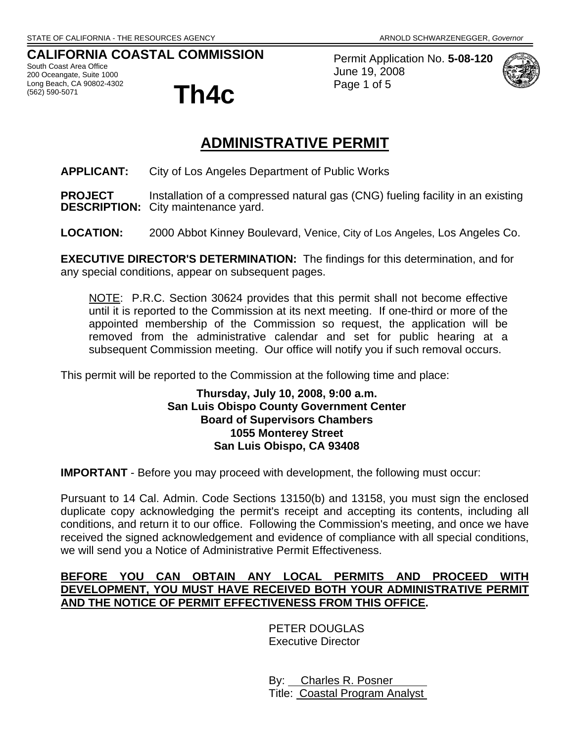# **CALIFORNIA COASTAL COMMISSION**

South Coast Area Office 200 Oceangate, Suite 1000 Long Beach, CA 90802-4302 (562) 590-5071 **Th4c**



Permit Application No. **5-08-120** June 19, 2008 Page 1 of 5



# **ADMINISTRATIVE PERMIT**

**APPLICANT:** City of Los Angeles Department of Public Works

**PROJECT** Installation of a compressed natural gas (CNG) fueling facility in an existing **DESCRIPTION:** City maintenance yard.

**LOCATION:** 2000 Abbot Kinney Boulevard, Venice, City of Los Angeles, Los Angeles Co.

**EXECUTIVE DIRECTOR'S DETERMINATION:** The findings for this determination, and for any special conditions, appear on subsequent pages.

NOTE: P.R.C. Section 30624 provides that this permit shall not become effective until it is reported to the Commission at its next meeting. If one-third or more of the appointed membership of the Commission so request, the application will be removed from the administrative calendar and set for public hearing at a subsequent Commission meeting. Our office will notify you if such removal occurs.

This permit will be reported to the Commission at the following time and place:

#### **Thursday, July 10, 2008, 9:00 a.m. San Luis Obispo County Government Center Board of Supervisors Chambers 1055 Monterey Street San Luis Obispo, CA 93408**

**IMPORTANT** - Before you may proceed with development, the following must occur:

Pursuant to 14 Cal. Admin. Code Sections 13150(b) and 13158, you must sign the enclosed duplicate copy acknowledging the permit's receipt and accepting its contents, including all conditions, and return it to our office. Following the Commission's meeting, and once we have received the signed acknowledgement and evidence of compliance with all special conditions, we will send you a Notice of Administrative Permit Effectiveness.

### **BEFORE YOU CAN OBTAIN ANY LOCAL PERMITS AND PROCEED WITH DEVELOPMENT, YOU MUST HAVE RECEIVED BOTH YOUR ADMINISTRATIVE PERMIT AND THE NOTICE OF PERMIT EFFECTIVENESS FROM THIS OFFICE.**

 PETER DOUGLAS Executive Director

 By: Charles R. Posner Title: Coastal Program Analyst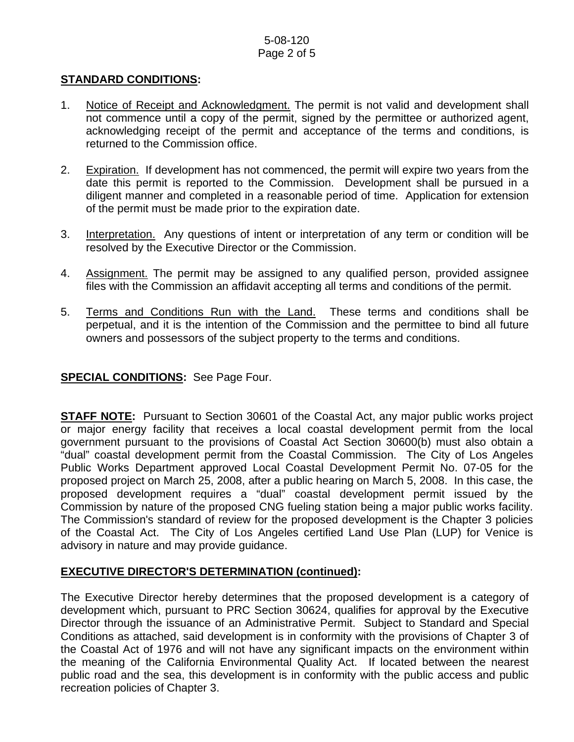#### 5-08-120 Page 2 of 5

### **STANDARD CONDITIONS:**

- 1. Notice of Receipt and Acknowledgment. The permit is not valid and development shall not commence until a copy of the permit, signed by the permittee or authorized agent, acknowledging receipt of the permit and acceptance of the terms and conditions, is returned to the Commission office.
- 2. Expiration. If development has not commenced, the permit will expire two years from the date this permit is reported to the Commission. Development shall be pursued in a diligent manner and completed in a reasonable period of time. Application for extension of the permit must be made prior to the expiration date.
- 3. Interpretation. Any questions of intent or interpretation of any term or condition will be resolved by the Executive Director or the Commission.
- 4. Assignment. The permit may be assigned to any qualified person, provided assignee files with the Commission an affidavit accepting all terms and conditions of the permit.
- 5. Terms and Conditions Run with the Land. These terms and conditions shall be perpetual, and it is the intention of the Commission and the permittee to bind all future owners and possessors of the subject property to the terms and conditions.

### **SPECIAL CONDITIONS:** See Page Four.

**STAFF NOTE:** Pursuant to Section 30601 of the Coastal Act, any major public works project or major energy facility that receives a local coastal development permit from the local government pursuant to the provisions of Coastal Act Section 30600(b) must also obtain a "dual" coastal development permit from the Coastal Commission. The City of Los Angeles Public Works Department approved Local Coastal Development Permit No. 07-05 for the proposed project on March 25, 2008, after a public hearing on March 5, 2008. In this case, the proposed development requires a "dual" coastal development permit issued by the Commission by nature of the proposed CNG fueling station being a major public works facility. The Commission's standard of review for the proposed development is the Chapter 3 policies of the Coastal Act. The City of Los Angeles certified Land Use Plan (LUP) for Venice is advisory in nature and may provide guidance.

### **EXECUTIVE DIRECTOR'S DETERMINATION (continued):**

The Executive Director hereby determines that the proposed development is a category of development which, pursuant to PRC Section 30624, qualifies for approval by the Executive Director through the issuance of an Administrative Permit. Subject to Standard and Special Conditions as attached, said development is in conformity with the provisions of Chapter 3 of the Coastal Act of 1976 and will not have any significant impacts on the environment within the meaning of the California Environmental Quality Act. If located between the nearest public road and the sea, this development is in conformity with the public access and public recreation policies of Chapter 3.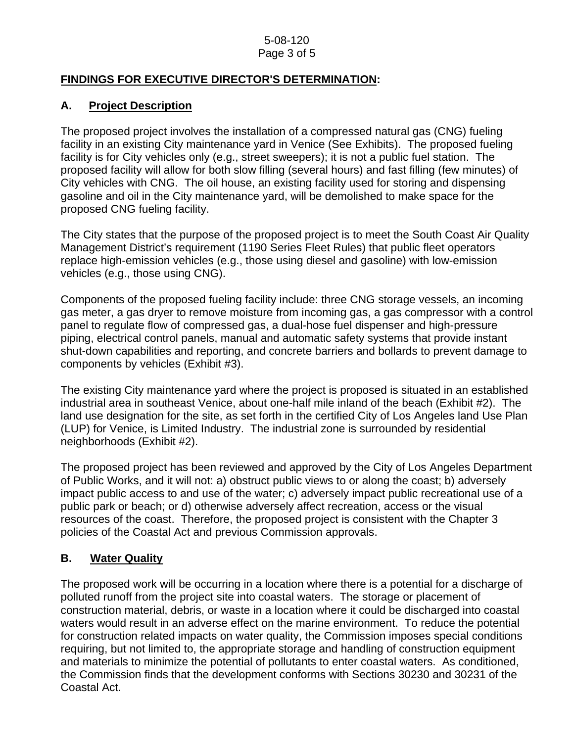#### 5-08-120 Page 3 of 5

# **FINDINGS FOR EXECUTIVE DIRECTOR'S DETERMINATION:**

# **A. Project Description**

The proposed project involves the installation of a compressed natural gas (CNG) fueling facility in an existing City maintenance yard in Venice (See Exhibits). The proposed fueling facility is for City vehicles only (e.g., street sweepers); it is not a public fuel station. The proposed facility will allow for both slow filling (several hours) and fast filling (few minutes) of City vehicles with CNG. The oil house, an existing facility used for storing and dispensing gasoline and oil in the City maintenance yard, will be demolished to make space for the proposed CNG fueling facility.

The City states that the purpose of the proposed project is to meet the South Coast Air Quality Management District's requirement (1190 Series Fleet Rules) that public fleet operators replace high-emission vehicles (e.g., those using diesel and gasoline) with low-emission vehicles (e.g., those using CNG).

Components of the proposed fueling facility include: three CNG storage vessels, an incoming gas meter, a gas dryer to remove moisture from incoming gas, a gas compressor with a control panel to regulate flow of compressed gas, a dual-hose fuel dispenser and high-pressure piping, electrical control panels, manual and automatic safety systems that provide instant shut-down capabilities and reporting, and concrete barriers and bollards to prevent damage to components by vehicles (Exhibit #3).

The existing City maintenance yard where the project is proposed is situated in an established industrial area in southeast Venice, about one-half mile inland of the beach (Exhibit #2). The land use designation for the site, as set forth in the certified City of Los Angeles land Use Plan (LUP) for Venice, is Limited Industry. The industrial zone is surrounded by residential neighborhoods (Exhibit #2).

The proposed project has been reviewed and approved by the City of Los Angeles Department of Public Works, and it will not: a) obstruct public views to or along the coast; b) adversely impact public access to and use of the water; c) adversely impact public recreational use of a public park or beach; or d) otherwise adversely affect recreation, access or the visual resources of the coast. Therefore, the proposed project is consistent with the Chapter 3 policies of the Coastal Act and previous Commission approvals.

# **B. Water Quality**

The proposed work will be occurring in a location where there is a potential for a discharge of polluted runoff from the project site into coastal waters. The storage or placement of construction material, debris, or waste in a location where it could be discharged into coastal waters would result in an adverse effect on the marine environment. To reduce the potential for construction related impacts on water quality, the Commission imposes special conditions requiring, but not limited to, the appropriate storage and handling of construction equipment and materials to minimize the potential of pollutants to enter coastal waters. As conditioned, the Commission finds that the development conforms with Sections 30230 and 30231 of the Coastal Act.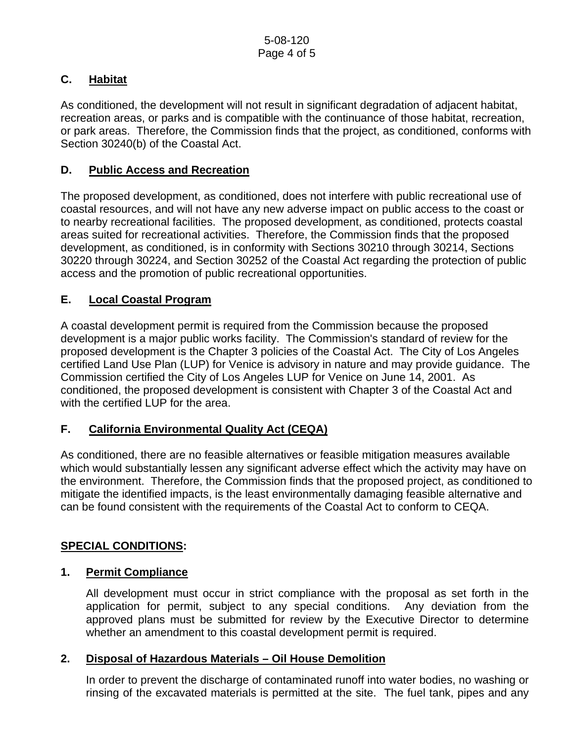# **C. Habitat**

As conditioned, the development will not result in significant degradation of adjacent habitat, recreation areas, or parks and is compatible with the continuance of those habitat, recreation, or park areas. Therefore, the Commission finds that the project, as conditioned, conforms with Section 30240(b) of the Coastal Act.

# **D. Public Access and Recreation**

The proposed development, as conditioned, does not interfere with public recreational use of coastal resources, and will not have any new adverse impact on public access to the coast or to nearby recreational facilities. The proposed development, as conditioned, protects coastal areas suited for recreational activities. Therefore, the Commission finds that the proposed development, as conditioned, is in conformity with Sections 30210 through 30214, Sections 30220 through 30224, and Section 30252 of the Coastal Act regarding the protection of public access and the promotion of public recreational opportunities.

# **E. Local Coastal Program**

A coastal development permit is required from the Commission because the proposed development is a major public works facility. The Commission's standard of review for the proposed development is the Chapter 3 policies of the Coastal Act. The City of Los Angeles certified Land Use Plan (LUP) for Venice is advisory in nature and may provide guidance. The Commission certified the City of Los Angeles LUP for Venice on June 14, 2001. As conditioned, the proposed development is consistent with Chapter 3 of the Coastal Act and with the certified LUP for the area.

# **F. California Environmental Quality Act (CEQA)**

As conditioned, there are no feasible alternatives or feasible mitigation measures available which would substantially lessen any significant adverse effect which the activity may have on the environment. Therefore, the Commission finds that the proposed project, as conditioned to mitigate the identified impacts, is the least environmentally damaging feasible alternative and can be found consistent with the requirements of the Coastal Act to conform to CEQA.

# **SPECIAL CONDITIONS:**

### **1. Permit Compliance**

 All development must occur in strict compliance with the proposal as set forth in the application for permit, subject to any special conditions. Any deviation from the approved plans must be submitted for review by the Executive Director to determine whether an amendment to this coastal development permit is required.

### **2. Disposal of Hazardous Materials – Oil House Demolition**

In order to prevent the discharge of contaminated runoff into water bodies, no washing or rinsing of the excavated materials is permitted at the site. The fuel tank, pipes and any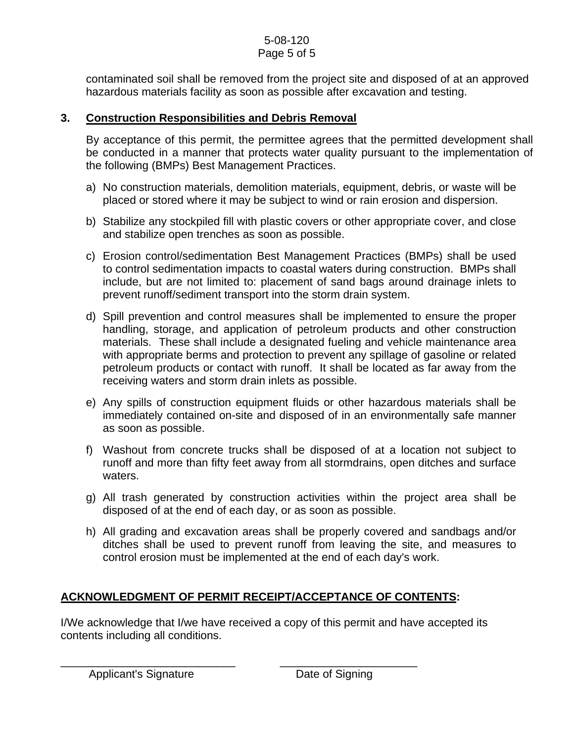# 5-08-120

### Page 5 of 5

contaminated soil shall be removed from the project site and disposed of at an approved hazardous materials facility as soon as possible after excavation and testing.

# **3. Construction Responsibilities and Debris Removal**

By acceptance of this permit, the permittee agrees that the permitted development shall be conducted in a manner that protects water quality pursuant to the implementation of the following (BMPs) Best Management Practices.

- a) No construction materials, demolition materials, equipment, debris, or waste will be placed or stored where it may be subject to wind or rain erosion and dispersion.
- b) Stabilize any stockpiled fill with plastic covers or other appropriate cover, and close and stabilize open trenches as soon as possible.
- c) Erosion control/sedimentation Best Management Practices (BMPs) shall be used to control sedimentation impacts to coastal waters during construction. BMPs shall include, but are not limited to: placement of sand bags around drainage inlets to prevent runoff/sediment transport into the storm drain system.
- d) Spill prevention and control measures shall be implemented to ensure the proper handling, storage, and application of petroleum products and other construction materials. These shall include a designated fueling and vehicle maintenance area with appropriate berms and protection to prevent any spillage of gasoline or related petroleum products or contact with runoff. It shall be located as far away from the receiving waters and storm drain inlets as possible.
- e) Any spills of construction equipment fluids or other hazardous materials shall be immediately contained on-site and disposed of in an environmentally safe manner as soon as possible.
- f) Washout from concrete trucks shall be disposed of at a location not subject to runoff and more than fifty feet away from all stormdrains, open ditches and surface waters.
- g) All trash generated by construction activities within the project area shall be disposed of at the end of each day, or as soon as possible.
- h) All grading and excavation areas shall be properly covered and sandbags and/or ditches shall be used to prevent runoff from leaving the site, and measures to control erosion must be implemented at the end of each day's work.

# **ACKNOWLEDGMENT OF PERMIT RECEIPT/ACCEPTANCE OF CONTENTS:**

\_\_\_\_\_\_\_\_\_\_\_\_\_\_\_\_\_\_\_\_\_\_\_\_\_\_\_\_ \_\_\_\_\_\_\_\_\_\_\_\_\_\_\_\_\_\_\_\_\_\_

I/We acknowledge that I/we have received a copy of this permit and have accepted its contents including all conditions.

Applicant's Signature **Date of Signing**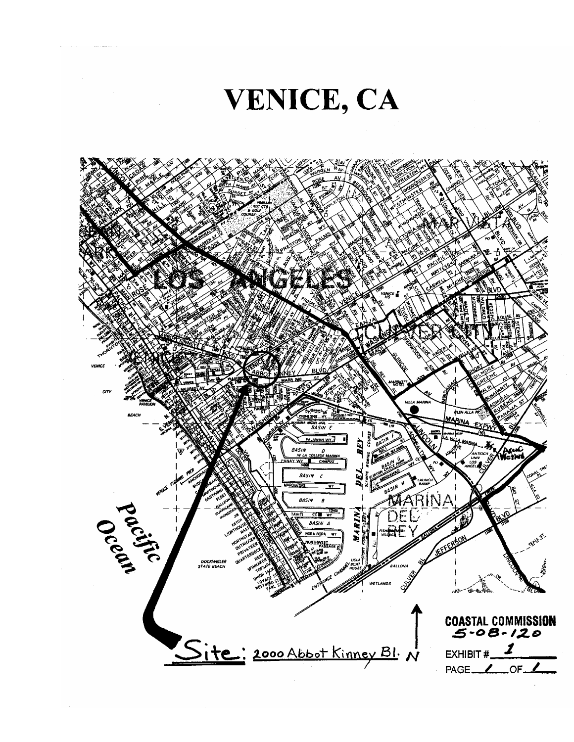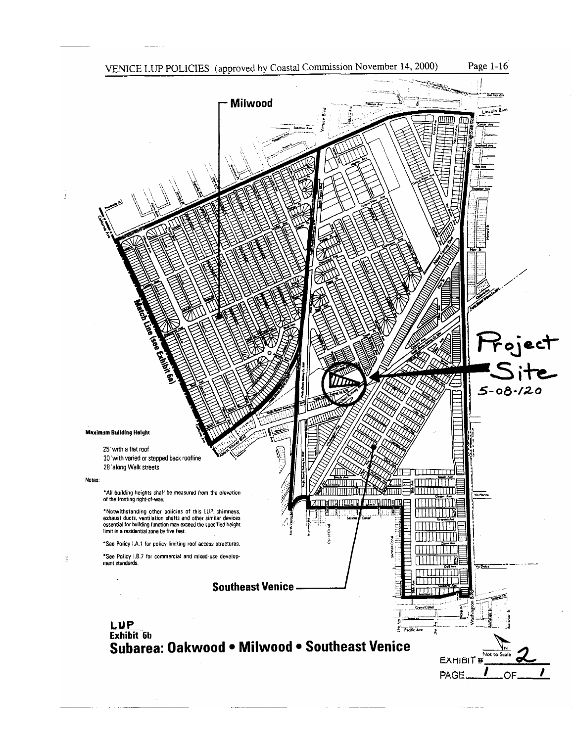